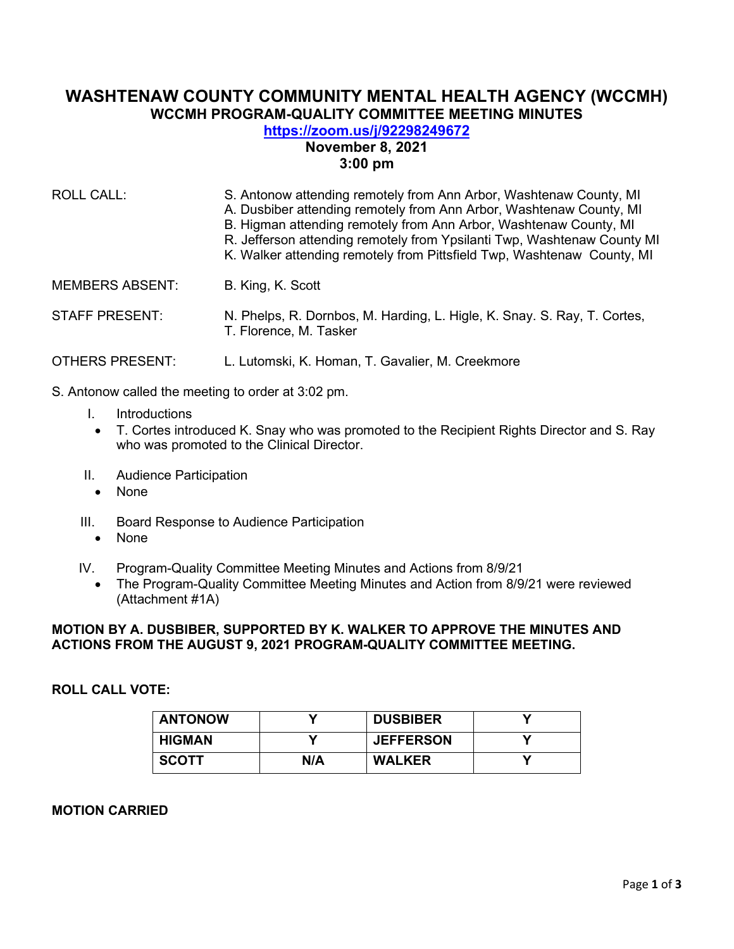# **WASHTENAW COUNTY COMMUNITY MENTAL HEALTH AGENCY (WCCMH) WCCMH PROGRAM-QUALITY COMMITTEE MEETING MINUTES**

# **<https://zoom.us/j/92298249672> November 8, 2021 3:00 pm**

| <b>ROLL CALL:</b>      | S. Antonow attending remotely from Ann Arbor, Washtenaw County, MI<br>A. Dusbiber attending remotely from Ann Arbor, Washtenaw County, MI<br>B. Higman attending remotely from Ann Arbor, Washtenaw County, MI<br>R. Jefferson attending remotely from Ypsilanti Twp, Washtenaw County MI<br>K. Walker attending remotely from Pittsfield Twp, Washtenaw County, MI |  |
|------------------------|---------------------------------------------------------------------------------------------------------------------------------------------------------------------------------------------------------------------------------------------------------------------------------------------------------------------------------------------------------------------|--|
| <b>MEMBERS ABSENT:</b> | B. King, K. Scott                                                                                                                                                                                                                                                                                                                                                   |  |
| <b>STAFF PRESENT:</b>  | N. Phelps, R. Dornbos, M. Harding, L. Higle, K. Snay. S. Ray, T. Cortes,<br>T. Florence, M. Tasker                                                                                                                                                                                                                                                                  |  |
| <b>OTHERS PRESENT:</b> | L. Lutomski, K. Homan, T. Gavalier, M. Creekmore                                                                                                                                                                                                                                                                                                                    |  |

- S. Antonow called the meeting to order at 3:02 pm.
	- I. Introductions
	- T. Cortes introduced K. Snay who was promoted to the Recipient Rights Director and S. Ray who was promoted to the Clinical Director.
	- II. Audience Participation
		- None
	- III. Board Response to Audience Participation
		- None
	- IV. Program-Quality Committee Meeting Minutes and Actions from 8/9/21
		- The Program-Quality Committee Meeting Minutes and Action from 8/9/21 were reviewed (Attachment #1A)

## **MOTION BY A. DUSBIBER, SUPPORTED BY K. WALKER TO APPROVE THE MINUTES AND ACTIONS FROM THE AUGUST 9, 2021 PROGRAM-QUALITY COMMITTEE MEETING.**

## **ROLL CALL VOTE:**

| <b>ANTONOW</b> | v   | <b>DUSBIBER</b>  |  |
|----------------|-----|------------------|--|
| <b>HIGMAN</b>  |     | <b>JEFFERSON</b> |  |
| <b>SCOTT</b>   | N/A | <b>WALKER</b>    |  |

**MOTION CARRIED**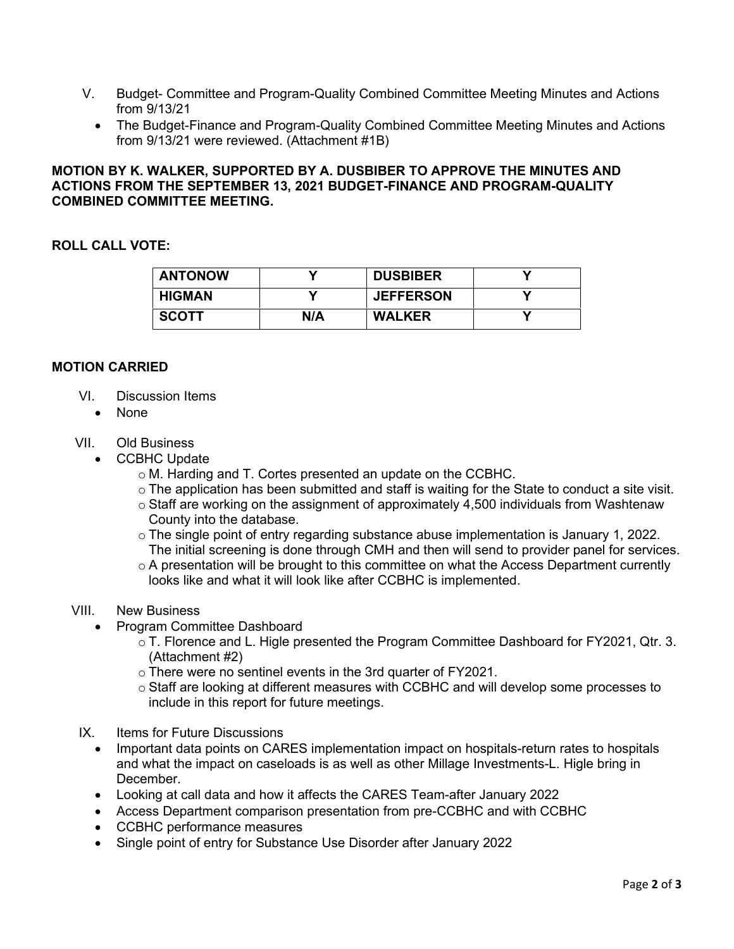- V. Budget- Committee and Program-Quality Combined Committee Meeting Minutes and Actions from 9/13/21
	- The Budget-Finance and Program-Quality Combined Committee Meeting Minutes and Actions from 9/13/21 were reviewed. (Attachment #1B)

## **MOTION BY K. WALKER, SUPPORTED BY A. DUSBIBER TO APPROVE THE MINUTES AND ACTIONS FROM THE SEPTEMBER 13, 2021 BUDGET-FINANCE AND PROGRAM-QUALITY COMBINED COMMITTEE MEETING.**

### **ROLL CALL VOTE:**

| <b>ANTONOW</b> |     | <b>DUSBIBER</b>  |  |
|----------------|-----|------------------|--|
| <b>HIGMAN</b>  |     | <b>JEFFERSON</b> |  |
| <b>SCOTT</b>   | N/A | <b>WALKER</b>    |  |

#### **MOTION CARRIED**

- VI. Discussion Items
	- None

## VII. Old Business

- CCBHC Update
	- o M. Harding and T. Cortes presented an update on the CCBHC.
	- o The application has been submitted and staff is waiting for the State to conduct a site visit.
	- $\circ$  Staff are working on the assignment of approximately 4,500 individuals from Washtenaw County into the database.
	- o The single point of entry regarding substance abuse implementation is January 1, 2022. The initial screening is done through CMH and then will send to provider panel for services.
	- o A presentation will be brought to this committee on what the Access Department currently looks like and what it will look like after CCBHC is implemented.

#### VIII. New Business

- Program Committee Dashboard
	- o T. Florence and L. Higle presented the Program Committee Dashboard for FY2021, Qtr. 3. (Attachment #2)
	- o There were no sentinel events in the 3rd quarter of FY2021.
	- o Staff are looking at different measures with CCBHC and will develop some processes to include in this report for future meetings.
- IX. Items for Future Discussions
	- Important data points on CARES implementation impact on hospitals-return rates to hospitals and what the impact on caseloads is as well as other Millage Investments-L. Higle bring in December.
	- Looking at call data and how it affects the CARES Team-after January 2022
	- Access Department comparison presentation from pre-CCBHC and with CCBHC
	- CCBHC performance measures
	- Single point of entry for Substance Use Disorder after January 2022